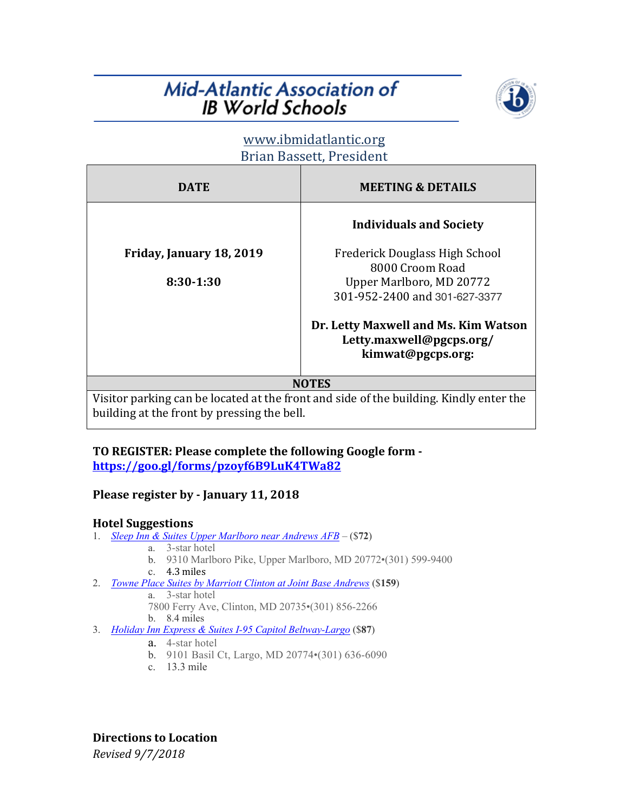# **Mid-Atlantic Association of IB World Schools**



## www.ibmidatlantic.org Brian Bassett, President

| DATE                     | <b>MEETING &amp; DETAILS</b>                                                          |
|--------------------------|---------------------------------------------------------------------------------------|
|                          | <b>Individuals and Society</b>                                                        |
| Friday, January 18, 2019 | Frederick Douglass High School<br>8000 Croom Road                                     |
| $8:30-1:30$              | Upper Marlboro, MD 20772<br>301-952-2400 and 301-627-3377                             |
|                          | Dr. Letty Maxwell and Ms. Kim Watson<br>Letty.maxwell@pgcps.org/<br>kimwat@pgcps.org: |
|                          |                                                                                       |

Visitor parking can be located at the front and side of the building. Kindly enter the building at the front by pressing the bell.

### TO REGISTER: Please complete the following Google form **https://goo.gl/forms/pzoyf6B9LuK4TWa82**

## Please register by - January 11, 2018

## **Hotel Suggestions**

- 1. *Sleep Inn & Suites Upper Marlboro near Andrews AFB* (\$**72**)
	- a. 3-star hotel
	- b. 9310 Marlboro Pike, Upper Marlboro, MD 20772•(301) 599-9400
	- c. 4.3 miles
- 2. *Towne Place Suites by Marriott Clinton at Joint Base Andrews* (\$**159**)
	- a. 3-star hotel
	- 7800 Ferry Ave, Clinton, MD 20735•(301) 856-2266
	- b. 8.4 miles
- 3. *Holiday Inn Express & Suites I-95 Capitol Beltway-Largo* (\$**87**)
	- a. 4-star hotel
	- b. 9101 Basil Ct, Largo, MD 20774•(301) 636-6090
	- c. 13.3 mile

*Revised 9/7/2018* **Directions to Location**